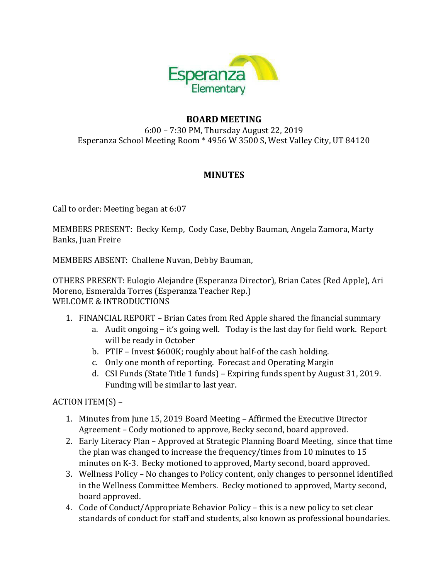

## **BOARD MEETING**

6:00 - 7:30 PM, Thursday August 22, 2019 Esperanza School Meeting Room \* 4956 W 3500 S, West Valley City, UT 84120

## **MINUTES**

Call to order: Meeting began at 6:07

MEMBERS PRESENT: Becky Kemp, Cody Case, Debby Bauman, Angela Zamora, Marty Banks, Juan Freire

MEMBERS ABSENT: Challene Nuvan, Debby Bauman,

OTHERS PRESENT: Eulogio Alejandre (Esperanza Director), Brian Cates (Red Apple), Ari Moreno, Esmeralda Torres (Esperanza Teacher Rep.) WELCOME & INTRODUCTIONS

- 1. FINANCIAL REPORT Brian Cates from Red Apple shared the financial summary
	- a. Audit ongoing it's going well. Today is the last day for field work. Report will be ready in October
	- b. PTIF Invest \$600K; roughly about half-of the cash holding.
	- c. Only one month of reporting. Forecast and Operating Margin
	- d. CSI Funds (State Title 1 funds) Expiring funds spent by August 31, 2019. Funding will be similar to last year.

 $ACTION ITEM(S) -$ 

- 1. Minutes from June 15, 2019 Board Meeting Affirmed the Executive Director Agreement - Cody motioned to approve, Becky second, board approved.
- 2. Early Literacy Plan Approved at Strategic Planning Board Meeting, since that time the plan was changed to increase the frequency/times from 10 minutes to 15 minutes on K-3. Becky motioned to approved, Marty second, board approved.
- 3. Wellness Policy No changes to Policy content, only changes to personnel identified in the Wellness Committee Members. Becky motioned to approved, Marty second, board approved.
- 4. Code of Conduct/Appropriate Behavior Policy this is a new policy to set clear standards of conduct for staff and students, also known as professional boundaries.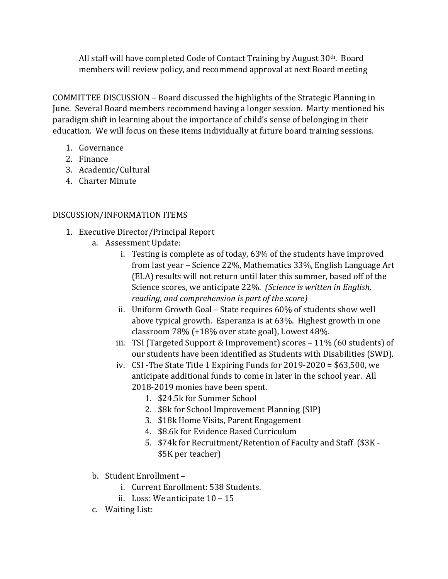All staff will have completed Code of Contact Training by August  $30<sup>th</sup>$ . Board members will review policy, and recommend approval at next Board meeting

COMMITTEE DISCUSSION – Board discussed the highlights of the Strategic Planning in June. Several Board members recommend having a longer session. Marty mentioned his paradigm shift in learning about the importance of child's sense of belonging in their education. We will focus on these items individually at future board training sessions.

- 1. Governance
- 2. Finance
- 3. Academic/Cultural
- 4. Charter Minute

# DISCUSSION/INFORMATION ITEMS

- 1. Executive Director/Principal Report
	- a. Assessment Update:
		- i. Testing is complete as of today,  $63\%$  of the students have improved from last year - Science 22%, Mathematics 33%, English Language Art (ELA) results will not return until later this summer, based off of the Science scores, we anticipate 22%. (Science is written in English, *reading, and comprehension is part of the score)*
		- ii. Uniform Growth Goal State requires 60% of students show well above typical growth. Esperanza is at 63%. Highest growth in one classroom  $78\%$  (+18% over state goal), Lowest  $48\%$ .
		- iii. TSI (Targeted Support & Improvement) scores  $-11\%$  (60 students) of our students have been identified as Students with Disabilities (SWD).
		- iv. CSI-The State Title 1 Expiring Funds for  $2019-2020 = $63,500$ , we anticipate additional funds to come in later in the school year. All 2018-2019 monies have been spent.
			- 1. \$24.5k for Summer School
			- 2. \$8k for School Improvement Planning (SIP)
			- 3. \$18k Home Visits, Parent Engagement
			- 4. \$8.6k for Evidence Based Curriculum
			- 5. \$74k for Recruitment/Retention of Faculty and Staff (\$3K -\$5K per teacher)
	- b. Student Enrollment
		- i. Current Enrollment: 538 Students.
		- ii. Loss: We anticipate  $10 15$
	- c. Waiting List: